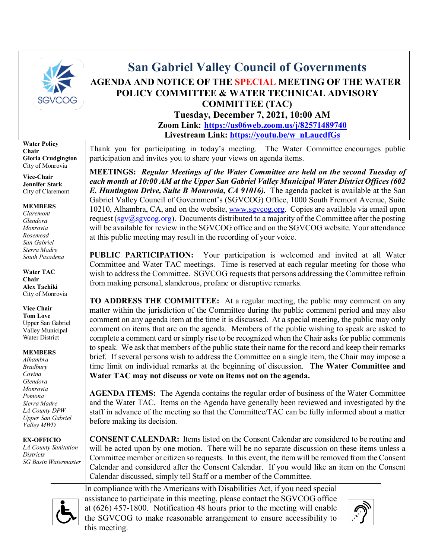

# **San Gabriel Valley Council of Governments AGENDA AND NOTICE OF THE SPECIAL MEETING OF THE WATER POLICY COMMITTEE & WATER TECHNICAL ADVISORY COMMITTEE (TAC)**

**Tuesday, December 7, 2021, 10:00 AM Zoom Link: <https://us06web.zoom.us/j/82571489740> Livestream Link: [https://youtu.be/w\\_nLaucdfGs](https://youtu.be/w_nLaucdfGs)**

**Water Policy Chair Gloria Crudgington** City of Monrovia

**Vice-Chair Jennifer Stark** City of Claremont

#### **MEMBERS**

*Claremont Glendora Monrovia Rosemead San Gabriel Sierra Madre South Pasadena*

**Water TAC Chair Alex Tachiki** City of Monrovia

### **Vice Chair**

**Tom Love** Upper San Gabriel Valley Municipal Water District

#### **MEMBERS**

*Alhambra Bradbury Covina Glendora Monrovia Pomona Sierra Madre LA County DPW Upper San Gabriel Valley MWD*

#### **EX-OFFICIO**

*LA County Sanitation Districts SG Basin Watermaster* Thank you for participating in today's meeting. The Water Committee encourages public participation and invites you to share your views on agenda items.

**MEETINGS:** *Regular Meetings of the Water Committee are held on the second Tuesday of each month at 10:00 AM at the Upper San Gabriel Valley Municipal Water District Offices (602 E. Huntington Drive, Suite B Monrovia, CA 91016).* The agenda packet is available at the San Gabriel Valley Council of Government's (SGVCOG) Office, 1000 South Fremont Avenue, Suite 10210, Alhambra, CA, and on the website, [www.sgvcog.org.](http://www.sgvcog.org/) Copies are available via email upon request ( $sgv@sgvcog.org$ ). Documents distributed to a majority of the Committee after the posting will be available for review in the SGVCOG office and on the SGVCOG website. Your attendance at this public meeting may result in the recording of your voice.

**PUBLIC PARTICIPATION:** Your participation is welcomed and invited at all Water Committee and Water TAC meetings. Time is reserved at each regular meeting for those who wish to address the Committee. SGVCOG requests that persons addressing the Committee refrain from making personal, slanderous, profane or disruptive remarks.

**TO ADDRESS THE COMMITTEE:** At a regular meeting, the public may comment on any matter within the jurisdiction of the Committee during the public comment period and may also comment on any agenda item at the time it is discussed. At a special meeting, the public may only comment on items that are on the agenda. Members of the public wishing to speak are asked to complete a comment card or simply rise to be recognized when the Chair asks for public comments to speak. We ask that members of the public state their name for the record and keep their remarks brief. If several persons wish to address the Committee on a single item, the Chair may impose a time limit on individual remarks at the beginning of discussion. **The Water Committee and Water TAC may not discuss or vote on items not on the agenda.** 

**AGENDA ITEMS:** The Agenda contains the regular order of business of the Water Committee and the Water TAC. Items on the Agenda have generally been reviewed and investigated by the staff in advance of the meeting so that the Committee/TAC can be fully informed about a matter before making its decision.

**CONSENT CALENDAR:** Items listed on the Consent Calendar are considered to be routine and will be acted upon by one motion. There will be no separate discussion on these items unless a Committee member or citizen so requests. In this event, the item will be removed from the Consent Calendar and considered after the Consent Calendar. If you would like an item on the Consent Calendar discussed, simply tell Staff or a member of the Committee.

In compliance with the Americans with Disabilities Act, if you need special assistance to participate in this meeting, please contact the SGVCOG office at (626) 457-1800. Notification 48 hours prior to the meeting will enable the SGVCOG to make reasonable arrangement to ensure accessibility to this meeting.



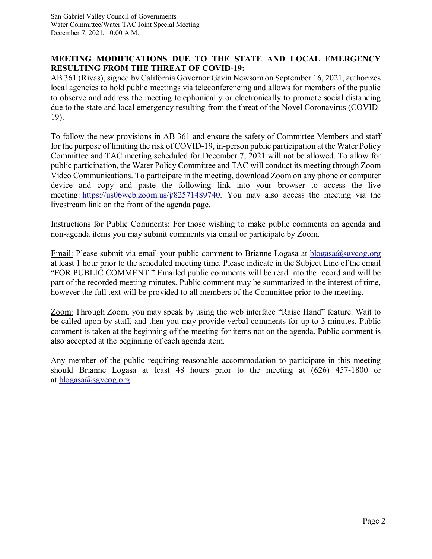### **MEETING MODIFICATIONS DUE TO THE STATE AND LOCAL EMERGENCY RESULTING FROM THE THREAT OF COVID-19:**

AB 361 (Rivas), signed by California Governor Gavin Newsom on September 16, 2021, authorizes local agencies to hold public meetings via teleconferencing and allows for members of the public to observe and address the meeting telephonically or electronically to promote social distancing due to the state and local emergency resulting from the threat of the Novel Coronavirus (COVID-19).

To follow the new provisions in AB 361 and ensure the safety of Committee Members and staff for the purpose of limiting the risk of COVID-19, in-person public participation at the Water Policy Committee and TAC meeting scheduled for December 7, 2021 will not be allowed. To allow for public participation, the Water Policy Committee and TAC will conduct its meeting through Zoom Video Communications. To participate in the meeting, download Zoom on any phone or computer device and copy and paste the following link into your browser to access the live meeting: [https://us06web.zoom.us/j/82571489740.](https://us06web.zoom.us/j/82571489740) You may also access the meeting via the livestream link on the front of the agenda page.

Instructions for Public Comments: For those wishing to make public comments on agenda and non-agenda items you may submit comments via email or participate by Zoom.

Email: Please submit via email your public comment to Brianne Logasa at [blogasa@sgvcog.org](mailto:blogasa@sgvcog.org) at least 1 hour prior to the scheduled meeting time. Please indicate in the Subject Line of the email "FOR PUBLIC COMMENT." Emailed public comments will be read into the record and will be part of the recorded meeting minutes. Public comment may be summarized in the interest of time, however the full text will be provided to all members of the Committee prior to the meeting.

Zoom: Through Zoom, you may speak by using the web interface "Raise Hand" feature. Wait to be called upon by staff, and then you may provide verbal comments for up to 3 minutes. Public comment is taken at the beginning of the meeting for items not on the agenda. Public comment is also accepted at the beginning of each agenda item.

Any member of the public requiring reasonable accommodation to participate in this meeting should Brianne Logasa at least 48 hours prior to the meeting at (626) 457-1800 or at  $blogasa(a)$ sgvcog.org.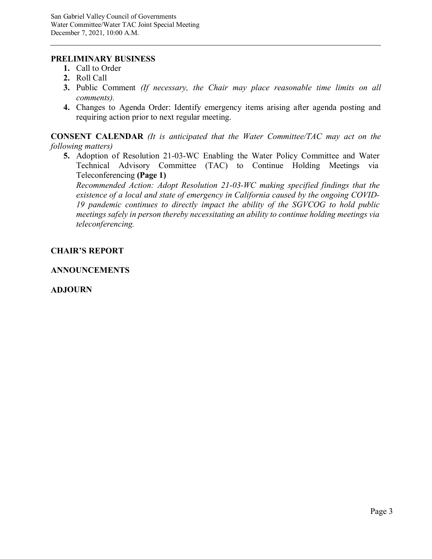#### **PRELIMINARY BUSINESS**

- **1.** Call to Order
- **2.** Roll Call
- **3.** Public Comment *(If necessary, the Chair may place reasonable time limits on all comments).*
- **4.** Changes to Agenda Order: Identify emergency items arising after agenda posting and requiring action prior to next regular meeting.

**CONSENT CALENDAR** *(It is anticipated that the Water Committee/TAC may act on the following matters)*

**5.** Adoption of Resolution 21-03-WC Enabling the Water Policy Committee and Water Technical Advisory Committee (TAC) to Continue Holding Meetings via Teleconferencing **(Page 1)**

*[Recommended Action: Adopt Resolution 21-03-WC making specified findings that the](#page-3-0) existence of a local and state of emergency in California caused by the ongoing COVID-19 pandemic continues to directly impact the ability of the SGVCOG to hold public meetings safely in person thereby necessitating an ability to continue holding meetings via teleconferencing.*

#### **CHAIR'S REPORT**

#### **ANNOUNCEMENTS**

#### **ADJOURN**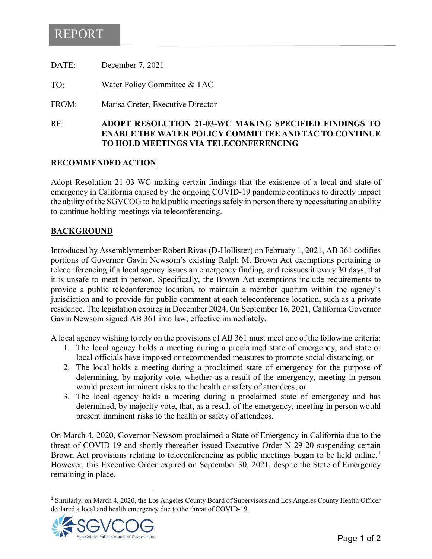# <span id="page-3-0"></span>REPORT

| RE:   | <b>ADOPT RESOLUTION 21-03-WC</b><br><b>ENABLE THE WATER POLICY CO</b> |
|-------|-----------------------------------------------------------------------|
| FROM: | Marisa Creter, Executive Director                                     |
| TO:   | Water Policy Committee & TAC                                          |
| DATE: | December 7, 2021                                                      |

#### RE: **ADOPT RESOLUTION 21-03-WC MAKING SPECIFIED FINDINGS TO EXAMPLERAND TAC TO CONTINUE TO HOLD MEETINGS VIA TELECONFERENCING**

#### **RECOMMENDED ACTION**

Adopt Resolution 21-03-WC making certain findings that the existence of a local and state of emergency in California caused by the ongoing COVID-19 pandemic continues to directly impact the ability of the SGVCOG to hold public meetings safely in person thereby necessitating an ability to continue holding meetings via teleconferencing.

#### **BACKGROUND**

Introduced by Assemblymember Robert Rivas (D-Hollister) on February 1, 2021, AB 361 codifies portions of Governor Gavin Newsom's existing Ralph M. Brown Act exemptions pertaining to teleconferencing if a local agency issues an emergency finding, and reissues it every 30 days, that it is unsafe to meet in person. Specifically, the Brown Act exemptions include requirements to provide a public teleconference location, to maintain a member quorum within the agency's jurisdiction and to provide for public comment at each teleconference location, such as a private residence. The legislation expires in December 2024. On September 16, 2021, California Governor Gavin Newsom signed AB 361 into law, effective immediately.

A local agency wishing to rely on the provisions of AB 361 must meet one of the following criteria:

- 1. The local agency holds a meeting during a proclaimed state of emergency, and state or local officials have imposed or recommended measures to promote social distancing; or
- 2. The local holds a meeting during a proclaimed state of emergency for the purpose of determining, by majority vote, whether as a result of the emergency, meeting in person would present imminent risks to the health or safety of attendees; or
- 3. The local agency holds a meeting during a proclaimed state of emergency and has determined, by majority vote, that, as a result of the emergency, meeting in person would present imminent risks to the health or safety of attendees.

On March 4, 2020, Governor Newsom proclaimed a State of Emergency in California due to the threat of COVID-19 and shortly thereafter issued Executive Order N-29-20 suspending certain Brown Act provisions relating to teleconferencing as public meetings began to be held online.<sup>[1](#page-3-1)</sup> However, this Executive Order expired on September 30, 2021, despite the State of Emergency remaining in place.

<span id="page-3-1"></span><sup>&</sup>lt;sup>1</sup> Similarly, on March 4, 2020, the Los Angeles County Board of Supervisors and Los Angeles County Health Officer declared a local and health emergency due to the threat of COVID-19.